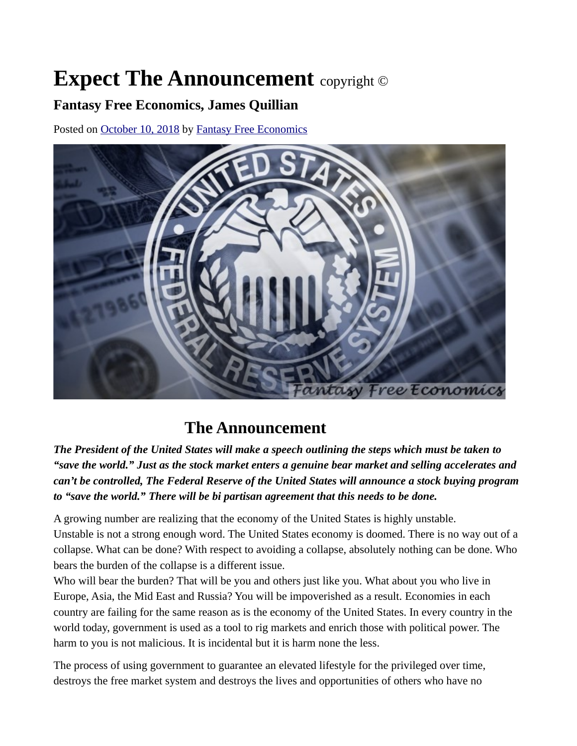## **Expect The Announcement** copyright ©

## **Fantasy Free Economics, James Quillian**

Posted on [October 10, 2018](http://quillian.net/blog/the-announcement/) by [Fantasy Free Economics](http://quillian.net/blog/author/james-quillian/)



## **The Announcement**

*The President of the United States will make a speech outlining the steps which must be taken to "save the world." Just as the stock market enters a genuine bear market and selling accelerates and can't be controlled, The Federal Reserve of the United States will announce a stock buying program to "save the world." There will be bi partisan agreement that this needs to be done.*

A growing number are realizing that the economy of the United States is highly unstable. Unstable is not a strong enough word. The United States economy is doomed. There is no way out of a collapse. What can be done? With respect to avoiding a collapse, absolutely nothing can be done. Who bears the burden of the collapse is a different issue.

Who will bear the burden? That will be you and others just like you. What about you who live in Europe, Asia, the Mid East and Russia? You will be impoverished as a result. Economies in each country are failing for the same reason as is the economy of the United States. In every country in the world today, government is used as a tool to rig markets and enrich those with political power. The harm to you is not malicious. It is incidental but it is harm none the less.

The process of using government to guarantee an elevated lifestyle for the privileged over time, destroys the free market system and destroys the lives and opportunities of others who have no